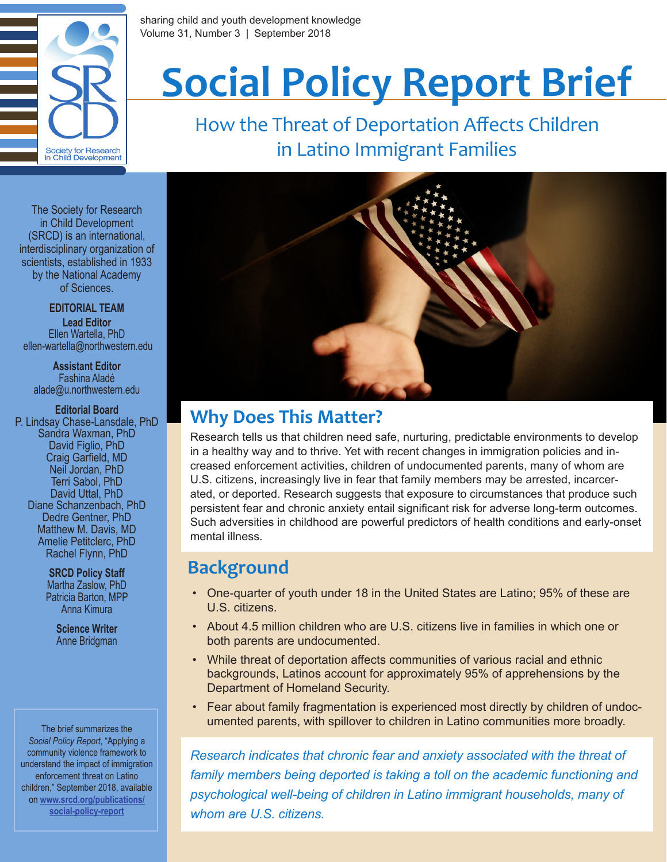

sharing child and youth development knowledge Volume 31, Number 3 | September 2018

# **Social Policy Report Brief**

How the Threat of Deportation Affects Children in Latino Immigrant Families

The Society for Research in Child Development (SRCD) is an international, interdisciplinary organization of scientists, established in 1933 by the National Academy of Sciences.

**EDITORIAL TEAM**

**Lead Editor** Ellen Wartella, PhD ellen-wartella@northwestern.edu

**Assistant Editor** Fashina Aladé alade@u.northwestern.edu

**Editorial Board** P. Lindsay Chase-Lansdale, PhD Sandra Waxman, PhD David Figlio, PhD Craig Garfield, MD Neil Jordan, PhD Terri Sabol, PhD David Uttal, PhD Diane Schanzenbach, PhD Dedre Gentner, PhD Matthew M. Davis, MD Amelie Petitclerc, PhD Rachel Flynn, PhD

> **SRCD Policy Staff** Martha Zaslow, PhD Patricia Barton, MPP Anna Kimura

> > **Science Writer** Anne Bridgman

*Social Policy Report*, "Applying a community violence framework to understand the impact of immigration enforcement threat on Latino children," September 2018, available on **[www.srcd.org/publications/](https://www.srcd.org/publications/social-policy-report) social-policy-report**



## **Why Does This Matter?**

Research tells us that children need safe, nurturing, predictable environments to develop in a healthy way and to thrive. Yet with recent changes in immigration policies and increased enforcement activities, children of undocumented parents, many of whom are U.S. citizens, increasingly live in fear that family members may be arrested, incarcerated, or deported. Research suggests that exposure to circumstances that produce such persistent fear and chronic anxiety entail significant risk for adverse long-term outcomes. Such adversities in childhood are powerful predictors of health conditions and early-onset mental illness.

### **Background**

- One-quarter of youth under 18 in the United States are Latino; 95% of these are U.S. citizens.
- About 4.5 million children who are U.S. citizens live in families in which one or both parents are undocumented.
- While threat of deportation affects communities of various racial and ethnic backgrounds, Latinos account for approximately 95% of apprehensions by the Department of Homeland Security.
- Fear about family fragmentation is experienced most directly by children of undoc-The brief summarizes the **the communities of the straight of the umented parents, with spillover to children in Latino communities more broadly.**

*Research indicates that chronic fear and anxiety associated with the threat of family members being deported is taking a toll on the academic functioning and psychological well-being of children in Latino immigrant households, many of whom are U.S. citizens.*